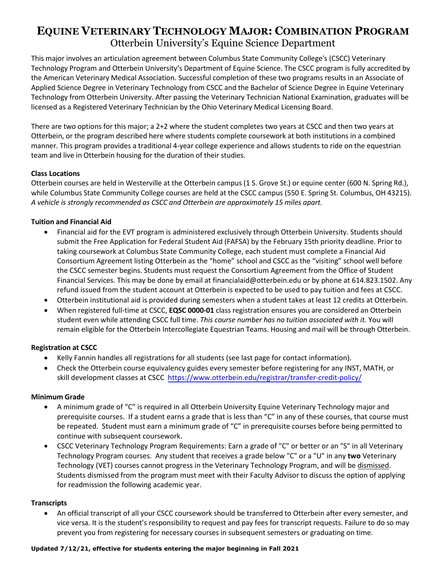## **EQUINE VETERINARY TECHNOLOGY MAJOR: COMBINATION PROGRAM** Otterbein University's Equine Science Department

This major involves an articulation agreement between Columbus State Community College's (CSCC) Veterinary Technology Program and Otterbein University's Department of Equine Science. The CSCC program is fully accredited by the American Veterinary Medical Association. Successful completion of these two programs results in an Associate of Applied Science Degree in Veterinary Technology from CSCC and the Bachelor of Science Degree in Equine Veterinary Technology from Otterbein University. After passing the Veterinary Technician National Examination, graduates will be licensed as a Registered Veterinary Technician by the Ohio Veterinary Medical Licensing Board.

There are two options for this major; a 2+2 where the student completes two years at CSCC and then two years at Otterbein, or the program described here where students complete coursework at both institutions in a combined manner. This program provides a traditional 4-year college experience and allows students to ride on the equestrian team and live in Otterbein housing for the duration of their studies.

#### **Class Locations**

Otterbein courses are held in Westerville at the Otterbein campus (1 S. Grove St.) or equine center (600 N. Spring Rd.), while Columbus State Community College courses are held at the CSCC campus (550 E. Spring St. Columbus, OH 43215). *A vehicle is strongly recommended as CSCC and Otterbein are approximately 15 miles apart.*

#### **Tuition and Financial Aid**

- Financial aid for the EVT program is administered exclusively through Otterbein University. Students should submit the Free Application for Federal Student Aid (FAFSA) by the February 15th priority deadline. Prior to taking coursework at Columbus State Community College, each student must complete a Financial Aid Consortium Agreement listing Otterbein as the "home" school and CSCC as the "visiting" school well before the CSCC semester begins. Students must request the Consortium Agreement from the Office of Student Financial Services. This may be done by email at financialaid@otterbein.edu or by phone at 614.823.1502. Any refund issued from the student account at Otterbein is expected to be used to pay tuition and fees at CSCC.
- Otterbein institutional aid is provided during semesters when a student takes at least 12 credits at Otterbein.
- When registered full-time at CSCC, **EQSC 0000-01** class registration ensures you are considered an Otterbein student even while attending CSCC full time. *This course number has no tuition associated with it.* You will remain eligible for the Otterbein Intercollegiate Equestrian Teams. Housing and mail will be through Otterbein.

#### **Registration at CSCC**

- Kelly Fannin handles all registrations for all students (see last page for contact information).
- Check the Otterbein course equivalency guides every semester before registering for any INST, MATH, or skill development classes at CSCC <https://www.otterbein.edu/registrar/transfer-credit-policy/>

#### **Minimum Grade**

- A minimum grade of "C" is required in all Otterbein University Equine Veterinary Technology major and prerequisite courses. If a student earns a grade that is less than "C" in any of these courses, that course must be repeated. Student must earn a minimum grade of "C" in prerequisite courses before being permitted to continue with subsequent coursework.
- CSCC Veterinary Technology Program Requirements: Earn a grade of "C" or better or an "S" in all Veterinary Technology Program courses. Any student that receives a grade below "C" or a "U" in any **two** Veterinary Technology (VET) courses cannot progress in the Veterinary Technology Program, and will be dismissed. Students dismissed from the program must meet with their Faculty Advisor to discuss the option of applying for readmission the following academic year.

#### **Transcripts**

• An official transcript of all your CSCC coursework should be transferred to Otterbein after every semester, and vice versa*.* It is the student's responsibility to request and pay fees for transcript requests. Failure to do so may prevent you from registering for necessary courses in subsequent semesters or graduating on time.

#### **Updated 7/12/21, effective for students entering the major beginning in Fall 2021**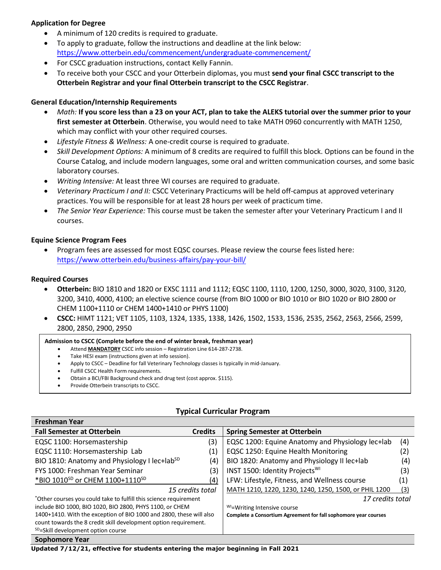#### **Application for Degree**

- A minimum of 120 credits is required to graduate.
- To apply to graduate, follow the instructions and deadline at the link below: <https://www.otterbein.edu/commencement/undergraduate-commencement/>
- For CSCC graduation instructions, contact Kelly Fannin.
- To receive both your CSCC and your Otterbein diplomas, you must **send your final CSCC transcript to the Otterbein Registrar and your final Otterbein transcript to the CSCC Registrar**.

#### **General Education/Internship Requirements**

- *Math:* **If you score less than a 23 on your ACT, plan to take the ALEKS tutorial over the summer prior to your first semester at Otterbein**. Otherwise, you would need to take MATH 0960 concurrently with MATH 1250, which may conflict with your other required courses.
- *Lifestyle Fitness & Wellness:* A one-credit course is required to graduate.
- *Skill Development Options:* A minimum of 8 credits are required to fulfill this block. Options can be found in the Course Catalog, and include modern languages, some oral and written communication courses, and some basic laboratory courses.
- *Writing Intensive:* At least three WI courses are required to graduate.
- *Veterinary Practicum I and II:* CSCC Veterinary Practicums will be held off-campus at approved veterinary practices. You will be responsible for at least 28 hours per week of practicum time.
- *The Senior Year Experience:* This course must be taken the semester after your Veterinary Practicum I and II courses.

#### **Equine Science Program Fees**

• Program fees are assessed for most EQSC courses. Please review the course fees listed here: <https://www.otterbein.edu/business-affairs/pay-your-bill/>

#### **Required Courses**

- **Otterbein:** BIO 1810 and 1820 or EXSC 1111 and 1112; EQSC 1100, 1110, 1200, 1250, 3000, 3020, 3100, 3120, 3200, 3410, 4000, 4100; an elective science course (from BIO 1000 or BIO 1010 or BIO 1020 or BIO 2800 or CHEM 1100+1110 or CHEM 1400+1410 or PHYS 1100)
- **CSCC:** HIMT 1121; VET 1105, 1103, 1324, 1335, 1338, 1426, 1502, 1533, 1536, 2535, 2562, 2563, 2566, 2599, 2800, 2850, 2900, 2950

#### **Admission to CSCC (Complete before the end of winter break, freshman year)**

- Attend **MANDATORY** CSCC info session Registration Line 614-287-2738.
- Take HESI exam (instructions given at info session).
- Apply to CSCC Deadline for fall Veterinary Technology classes is typically in mid-January.
- Fulfill CSCC Health Form requirements.
- Obtain a BCI/FBI Background check and drug test (cost approx. \$115).
- Provide Otterbein transcripts to CSCC.

| <b>Fall Semester at Otterbein</b>                                   | <b>Credits</b> | <b>Spring Semester at Otterbein</b>                             |                   |
|---------------------------------------------------------------------|----------------|-----------------------------------------------------------------|-------------------|
| EQSC 1100: Horsemastership                                          | (3)            | EQSC 1200: Equine Anatomy and Physiology lec+lab                | (4)               |
| EQSC 1110: Horsemastership Lab                                      | (1)            | EQSC 1250: Equine Health Monitoring                             | (2)               |
| BIO 1810: Anatomy and Physiology I lec+lab <sup>SD</sup>            | (4)            | BIO 1820: Anatomy and Physiology II lec+lab                     | (4)               |
| FYS 1000: Freshman Year Seminar                                     | (3)            | INST 1500: Identity Projects <sup>WI</sup>                      | (3)               |
| *BIO 1010 <sup>SD</sup> or CHEM 1100+1110 <sup>SD</sup>             | (4)            | LFW: Lifestyle, Fitness, and Wellness course                    | $\left( 1\right)$ |
| 15 credits total                                                    |                | MATH 1210, 1220, 1230, 1240, 1250, 1500, or PHIL 1200           | (3)               |
| *Other courses you could take to fulfill this science requirement   |                | 17 credits total                                                |                   |
| include BIO 1000, BIO 1020, BIO 2800, PHYS 1100, or CHEM            |                | <sup>WI</sup> =Writing Intensive course                         |                   |
| 1400+1410. With the exception of BIO 1000 and 2800, these will also |                | Complete a Consortium Agreement for fall sophomore year courses |                   |
| count towards the 8 credit skill development option requirement.    |                |                                                                 |                   |
| <sup>SD</sup> =Skill development option course                      |                |                                                                 |                   |
|                                                                     |                |                                                                 |                   |

#### **Typical Curricular Program**

**Freshman Year**

**Sophomore Year**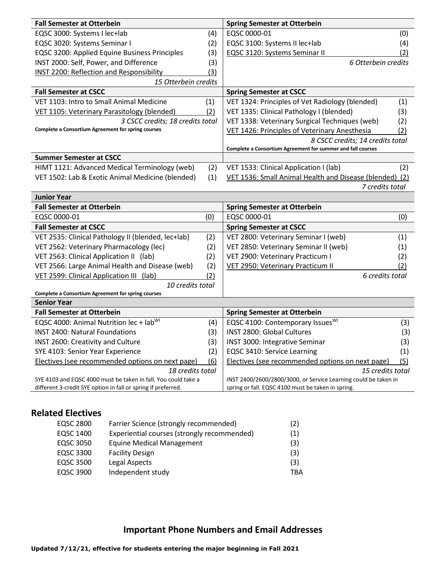| <b>Fall Semester at Otterbein</b>                  |     | <b>Spring Semester at Otterbein</b>                         |     |
|----------------------------------------------------|-----|-------------------------------------------------------------|-----|
| EQSC 3000: Systems I lec+lab                       | (4) | EQSC 0000-01                                                | (0) |
| EQSC 3020: Systems Seminar I                       | (2) | EQSC 3100: Systems II lec+lab                               | (4) |
| EQSC 3200: Applied Equine Business Principles      | (3) | EQSC 3120: Systems Seminar II                               | (2) |
| INST 2000: Self, Power, and Difference             | (3) | 6 Otterbein credits                                         |     |
| <b>INST 2200: Reflection and Responsibility</b>    | (3) |                                                             |     |
| 15 Otterbein credits                               |     |                                                             |     |
| <b>Fall Semester at CSCC</b>                       |     | <b>Spring Semester at CSCC</b>                              |     |
| VET 1103: Intro to Small Animal Medicine           | (1) | VET 1324: Principles of Vet Radiology (blended)             | (1) |
| VET 1105: Veterinary Parasitology (blended)        | (2) | VET 1335: Clinical Pathology I (blended)                    | (3) |
| 3 CSCC credits; 18 credits total                   |     | VET 1338: Veterinary Surgical Techniques (web)              | (2) |
| Complete a Consortium Agreement for spring courses |     | VET 1426: Principles of Veterinary Anesthesia               | (2) |
|                                                    |     | 8 CSCC credits; 14 credits total                            |     |
|                                                    |     | Complete a Consortium Agreement for summer and fall courses |     |
| <b>Summer Semester at CSCC</b>                     |     |                                                             |     |
| HIMT 1121: Advanced Medical Terminology (web)      | (2) | VET 1533: Clinical Application I (lab)                      | (2) |
| VET 1502: Lab & Exotic Animal Medicine (blended)   | (1) | VET 1536: Small Animal Health and Disease (blended) (2)     |     |
|                                                    |     | 7 credits total                                             |     |

| <b>Junior Year</b>                                 |     |                                       |                 |
|----------------------------------------------------|-----|---------------------------------------|-----------------|
| <b>Fall Semester at Otterbein</b>                  |     | <b>Spring Semester at Otterbein</b>   |                 |
| EQSC 0000-01                                       | (0) | EQSC 0000-01                          | (0)             |
| <b>Fall Semester at CSCC</b>                       |     | <b>Spring Semester at CSCC</b>        |                 |
| VET 2535: Clinical Pathology II (blended, lec+lab) | (2) | VET 2800: Veterinary Seminar I (web)  | (1)             |
| VET 2562: Veterinary Pharmacology (lec)            | (2) | VET 2850: Veterinary Seminar II (web) | (1)             |
| VET 2563: Clinical Application II (lab)            | (2) | VET 2900: Veterinary Practicum I      | (2)             |
| VET 2566: Large Animal Health and Disease (web)    | (2) | VET 2950: Veterinary Practicum II     | (2)             |
| VET 2599: Clinical Application III (lab)           | (2) |                                       | 6 credits total |
| 10 credits total                                   |     |                                       |                 |
| Complete a Consortium Agreement for spring courses |     |                                       |                 |
| <b>Senior Year</b>                                 |     |                                       |                 |
| <b>Fall Semester at Otterbein</b>                  |     | <b>Spring Semester at Otterbein</b>   |                 |

| EQSC 4000: Animal Nutrition lec + lab <sup>WI</sup>            | (4) | EQSC 4100: Contemporary Issues <sup>WI</sup>                    | 3)  |
|----------------------------------------------------------------|-----|-----------------------------------------------------------------|-----|
| <b>INST 2400: Natural Foundations</b>                          | (3) | INST 2800: Global Cultures                                      | (3) |
| INST 2600: Creativity and Culture                              | (3) | INST 3000: Integrative Seminar                                  | (3) |
| SYE 4103: Senior Year Experience                               | (2) | EQSC 3410: Service Learning                                     | (1) |
| Electives (see recommended options on next page)               | (6) | Electives (see recommended options on next page)                | (5) |
| 18 credits total                                               |     | 15 credits total                                                |     |
| SYE 4103 and EQSC 4000 must be taken in fall. You could take a |     | INST 2400/2600/2800/3000, or Service Learning could be taken in |     |
| different 3-credit SYE option in fall or spring if preferred.  |     | spring or fall. EQSC 4100 must be taken in spring.              |     |

### **Related Electives**

| <b>EQSC 2800</b> | Farrier Science (strongly recommended)      | (2) |
|------------------|---------------------------------------------|-----|
| EQSC 1400        | Experiential courses (strongly recommended) | (1) |
| EQSC 3050        | <b>Equine Medical Management</b>            | (3) |
| EQSC 3300        | <b>Facility Design</b>                      | (3) |
| EQSC 3500        | Legal Aspects                               | (3) |
| EQSC 3900        | Independent study                           | TBA |

# **Important Phone Numbers and Email Addresses**